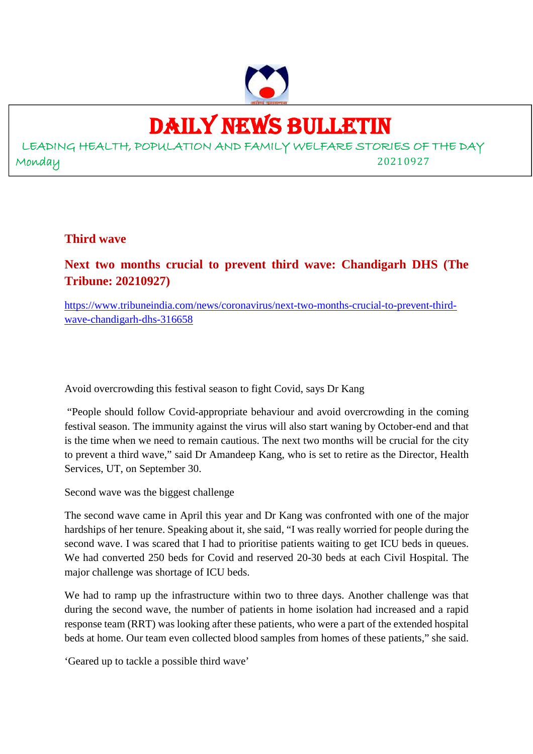

## DAILY NEWS BULLETIN

LEADING HEALTH, POPULATION AND FAMILY WELFARE STORIES OF THE DAY Monday 20210927

**Third wave**

**Next two months crucial to prevent third wave: Chandigarh DHS (The Tribune: 20210927)**

https://www.tribuneindia.com/news/coronavirus/next-two-months-crucial-to-prevent-thirdwave-chandigarh-dhs-316658

Avoid overcrowding this festival season to fight Covid, says Dr Kang

"People should follow Covid-appropriate behaviour and avoid overcrowding in the coming festival season. The immunity against the virus will also start waning by October-end and that is the time when we need to remain cautious. The next two months will be crucial for the city to prevent a third wave," said Dr Amandeep Kang, who is set to retire as the Director, Health Services, UT, on September 30.

Second wave was the biggest challenge

The second wave came in April this year and Dr Kang was confronted with one of the major hardships of her tenure. Speaking about it, she said, "I was really worried for people during the second wave. I was scared that I had to prioritise patients waiting to get ICU beds in queues. We had converted 250 beds for Covid and reserved 20-30 beds at each Civil Hospital. The major challenge was shortage of ICU beds.

We had to ramp up the infrastructure within two to three days. Another challenge was that during the second wave, the number of patients in home isolation had increased and a rapid response team (RRT) was looking after these patients, who were a part of the extended hospital beds at home. Our team even collected blood samples from homes of these patients," she said.

'Geared up to tackle a possible third wave'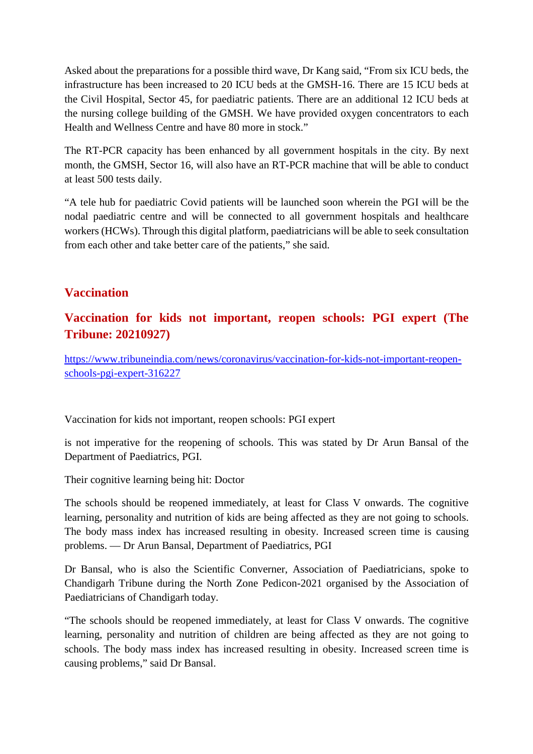Asked about the preparations for a possible third wave, Dr Kang said, "From six ICU beds, the infrastructure has been increased to 20 ICU beds at the GMSH-16. There are 15 ICU beds at the Civil Hospital, Sector 45, for paediatric patients. There are an additional 12 ICU beds at the nursing college building of the GMSH. We have provided oxygen concentrators to each Health and Wellness Centre and have 80 more in stock."

The RT-PCR capacity has been enhanced by all government hospitals in the city. By next month, the GMSH, Sector 16, will also have an RT-PCR machine that will be able to conduct at least 500 tests daily.

"A tele hub for paediatric Covid patients will be launched soon wherein the PGI will be the nodal paediatric centre and will be connected to all government hospitals and healthcare workers (HCWs). Through this digital platform, paediatricians will be able to seek consultation from each other and take better care of the patients," she said.

## **Vaccination**

## **Vaccination for kids not important, reopen schools: PGI expert (The Tribune: 20210927)**

https://www.tribuneindia.com/news/coronavirus/vaccination-for-kids-not-important-reopenschools-pgi-expert-316227

Vaccination for kids not important, reopen schools: PGI expert

is not imperative for the reopening of schools. This was stated by Dr Arun Bansal of the Department of Paediatrics, PGI.

Their cognitive learning being hit: Doctor

The schools should be reopened immediately, at least for Class V onwards. The cognitive learning, personality and nutrition of kids are being affected as they are not going to schools. The body mass index has increased resulting in obesity. Increased screen time is causing problems. — Dr Arun Bansal, Department of Paediatrics, PGI

Dr Bansal, who is also the Scientific Converner, Association of Paediatricians, spoke to Chandigarh Tribune during the North Zone Pedicon-2021 organised by the Association of Paediatricians of Chandigarh today.

"The schools should be reopened immediately, at least for Class V onwards. The cognitive learning, personality and nutrition of children are being affected as they are not going to schools. The body mass index has increased resulting in obesity. Increased screen time is causing problems," said Dr Bansal.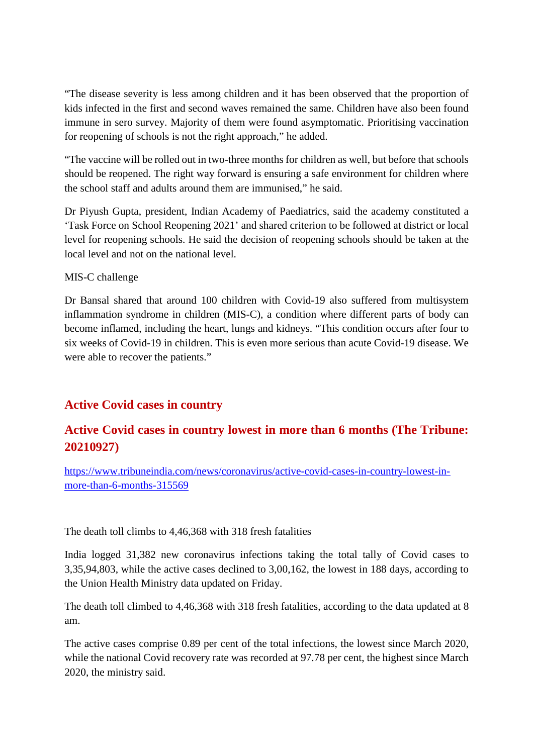"The disease severity is less among children and it has been observed that the proportion of kids infected in the first and second waves remained the same. Children have also been found immune in sero survey. Majority of them were found asymptomatic. Prioritising vaccination for reopening of schools is not the right approach," he added.

"The vaccine will be rolled out in two-three months for children as well, but before that schools should be reopened. The right way forward is ensuring a safe environment for children where the school staff and adults around them are immunised," he said.

Dr Piyush Gupta, president, Indian Academy of Paediatrics, said the academy constituted a 'Task Force on School Reopening 2021' and shared criterion to be followed at district or local level for reopening schools. He said the decision of reopening schools should be taken at the local level and not on the national level.

#### MIS-C challenge

Dr Bansal shared that around 100 children with Covid-19 also suffered from multisystem inflammation syndrome in children (MIS-C), a condition where different parts of body can become inflamed, including the heart, lungs and kidneys. "This condition occurs after four to six weeks of Covid-19 in children. This is even more serious than acute Covid-19 disease. We were able to recover the patients."

## **Active Covid cases in country**

## **Active Covid cases in country lowest in more than 6 months (The Tribune: 20210927)**

https://www.tribuneindia.com/news/coronavirus/active-covid-cases-in-country-lowest-inmore-than-6-months-315569

The death toll climbs to 4,46,368 with 318 fresh fatalities

India logged 31,382 new coronavirus infections taking the total tally of Covid cases to 3,35,94,803, while the active cases declined to 3,00,162, the lowest in 188 days, according to the Union Health Ministry data updated on Friday.

The death toll climbed to 4,46,368 with 318 fresh fatalities, according to the data updated at 8 am.

The active cases comprise 0.89 per cent of the total infections, the lowest since March 2020, while the national Covid recovery rate was recorded at 97.78 per cent, the highest since March 2020, the ministry said.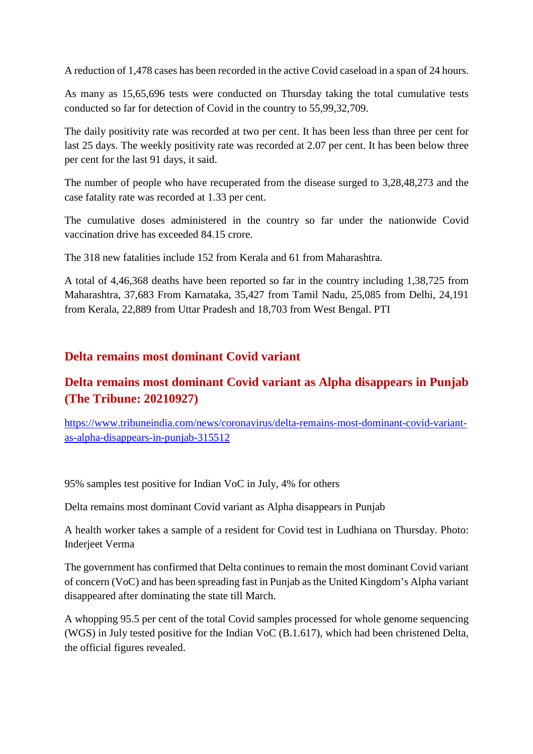A reduction of 1,478 cases has been recorded in the active Covid caseload in a span of 24 hours.

As many as 15,65,696 tests were conducted on Thursday taking the total cumulative tests conducted so far for detection of Covid in the country to 55,99,32,709.

The daily positivity rate was recorded at two per cent. It has been less than three per cent for last 25 days. The weekly positivity rate was recorded at 2.07 per cent. It has been below three per cent for the last 91 days, it said.

The number of people who have recuperated from the disease surged to 3,28,48,273 and the case fatality rate was recorded at 1.33 per cent.

The cumulative doses administered in the country so far under the nationwide Covid vaccination drive has exceeded 84.15 crore.

The 318 new fatalities include 152 from Kerala and 61 from Maharashtra.

A total of 4,46,368 deaths have been reported so far in the country including 1,38,725 from Maharashtra, 37,683 From Karnataka, 35,427 from Tamil Nadu, 25,085 from Delhi, 24,191 from Kerala, 22,889 from Uttar Pradesh and 18,703 from West Bengal. PTI

#### **Delta remains most dominant Covid variant**

## **Delta remains most dominant Covid variant as Alpha disappears in Punjab (The Tribune: 20210927)**

https://www.tribuneindia.com/news/coronavirus/delta-remains-most-dominant-covid-variantas-alpha-disappears-in-punjab-315512

95% samples test positive for Indian VoC in July, 4% for others

Delta remains most dominant Covid variant as Alpha disappears in Punjab

A health worker takes a sample of a resident for Covid test in Ludhiana on Thursday. Photo: Inderjeet Verma

The government has confirmed that Delta continues to remain the most dominant Covid variant of concern (VoC) and has been spreading fast in Punjab as the United Kingdom's Alpha variant disappeared after dominating the state till March.

A whopping 95.5 per cent of the total Covid samples processed for whole genome sequencing (WGS) in July tested positive for the Indian VoC (B.1.617), which had been christened Delta, the official figures revealed.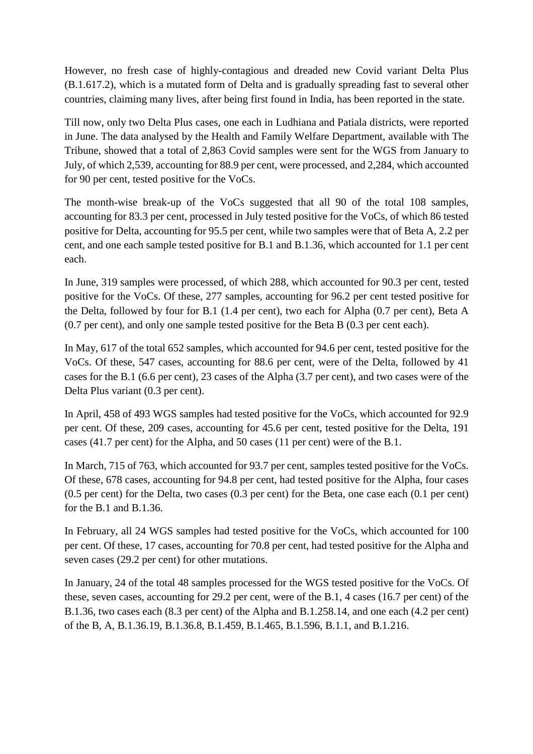However, no fresh case of highly-contagious and dreaded new Covid variant Delta Plus (B.1.617.2), which is a mutated form of Delta and is gradually spreading fast to several other countries, claiming many lives, after being first found in India, has been reported in the state.

Till now, only two Delta Plus cases, one each in Ludhiana and Patiala districts, were reported in June. The data analysed by the Health and Family Welfare Department, available with The Tribune, showed that a total of 2,863 Covid samples were sent for the WGS from January to July, of which 2,539, accounting for 88.9 per cent, were processed, and 2,284, which accounted for 90 per cent, tested positive for the VoCs.

The month-wise break-up of the VoCs suggested that all 90 of the total 108 samples, accounting for 83.3 per cent, processed in July tested positive for the VoCs, of which 86 tested positive for Delta, accounting for 95.5 per cent, while two samples were that of Beta A, 2.2 per cent, and one each sample tested positive for B.1 and B.1.36, which accounted for 1.1 per cent each.

In June, 319 samples were processed, of which 288, which accounted for 90.3 per cent, tested positive for the VoCs. Of these, 277 samples, accounting for 96.2 per cent tested positive for the Delta, followed by four for B.1 (1.4 per cent), two each for Alpha (0.7 per cent), Beta A (0.7 per cent), and only one sample tested positive for the Beta B (0.3 per cent each).

In May, 617 of the total 652 samples, which accounted for 94.6 per cent, tested positive for the VoCs. Of these, 547 cases, accounting for 88.6 per cent, were of the Delta, followed by 41 cases for the B.1 (6.6 per cent), 23 cases of the Alpha (3.7 per cent), and two cases were of the Delta Plus variant (0.3 per cent).

In April, 458 of 493 WGS samples had tested positive for the VoCs, which accounted for 92.9 per cent. Of these, 209 cases, accounting for 45.6 per cent, tested positive for the Delta, 191 cases (41.7 per cent) for the Alpha, and 50 cases (11 per cent) were of the B.1.

In March, 715 of 763, which accounted for 93.7 per cent, samples tested positive for the VoCs. Of these, 678 cases, accounting for 94.8 per cent, had tested positive for the Alpha, four cases (0.5 per cent) for the Delta, two cases (0.3 per cent) for the Beta, one case each (0.1 per cent) for the B.1 and B.1.36.

In February, all 24 WGS samples had tested positive for the VoCs, which accounted for 100 per cent. Of these, 17 cases, accounting for 70.8 per cent, had tested positive for the Alpha and seven cases (29.2 per cent) for other mutations.

In January, 24 of the total 48 samples processed for the WGS tested positive for the VoCs. Of these, seven cases, accounting for 29.2 per cent, were of the B.1, 4 cases (16.7 per cent) of the B.1.36, two cases each (8.3 per cent) of the Alpha and B.1.258.14, and one each (4.2 per cent) of the B, A, B.1.36.19, B.1.36.8, B.1.459, B.1.465, B.1.596, B.1.1, and B.1.216.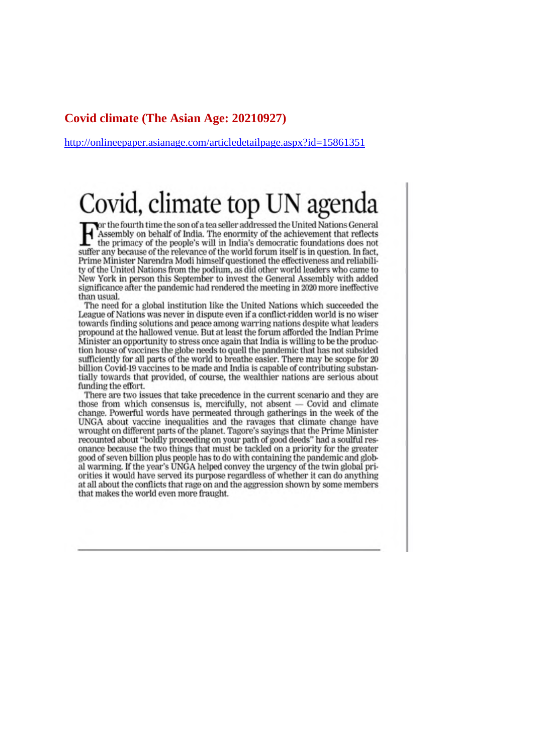#### **Covid climate (The Asian Age: 20210927)**

http://onlineepaper.asianage.com/articledetailpage.aspx?id=15861351

# Covid, climate top UN agenda

or the fourth time the son of a tea seller addressed the United Nations General<br>Assembly on behalf of India. The enormity of the achievement that reflects the primacy of the people's will in India's democratic foundations does not suffer any because of the relevance of the world forum itself is in question. In fact, Prime Minister Narendra Modi himself questioned the effectiveness and reliability of the United Nations from the podium, as did other world leaders who came to New York in person this September to invest the General Assembly with added significance after the pandemic had rendered the meeting in 2020 more ineffective than usual.

The need for a global institution like the United Nations which succeeded the League of Nations was never in dispute even if a conflict-ridden world is no wiser towards finding solutions and peace among warring nations despite what leaders propound at the hallowed venue. But at least the forum afforded the Indian Prime Minister an opportunity to stress once again that India is willing to be the production house of vaccines the globe needs to quell the pandemic that has not subsided sufficiently for all parts of the world to breathe easier. There may be scope for 20 billion Covid-19 vaccines to be made and India is capable of contributing substantially towards that provided, of course, the wealthier nations are serious about funding the effort.

There are two issues that take precedence in the current scenario and they are those from which consensus is, mercifully, not absent  $-$  Covid and climate change. Powerful words have permeated through gatherings in the week of the UNGA about vaccine inequalities and the ravages that climate change have wrought on different parts of the planet. Tagore's sayings that the Prime Minister recounted about "boldly proceeding on your path of good deeds" had a soulful resonance because the two things that must be tackled on a priority for the greater good of seven billion plus people has to do with containing the pandemic and global warming. If the year's UNGA helped convey the urgency of the twin global priorities it would have served its purpose regardless of whether it can do anything at all about the conflicts that rage on and the aggression shown by some members that makes the world even more fraught.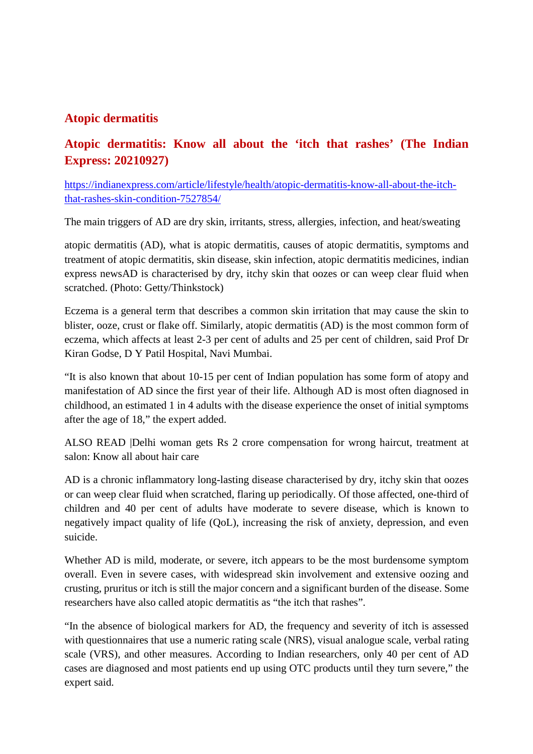## **Atopic dermatitis**

## **Atopic dermatitis: Know all about the 'itch that rashes' (The Indian Express: 20210927)**

https://indianexpress.com/article/lifestyle/health/atopic-dermatitis-know-all-about-the-itchthat-rashes-skin-condition-7527854/

The main triggers of AD are dry skin, irritants, stress, allergies, infection, and heat/sweating

atopic dermatitis (AD), what is atopic dermatitis, causes of atopic dermatitis, symptoms and treatment of atopic dermatitis, skin disease, skin infection, atopic dermatitis medicines, indian express newsAD is characterised by dry, itchy skin that oozes or can weep clear fluid when scratched. (Photo: Getty/Thinkstock)

Eczema is a general term that describes a common skin irritation that may cause the skin to blister, ooze, crust or flake off. Similarly, atopic dermatitis (AD) is the most common form of eczema, which affects at least 2-3 per cent of adults and 25 per cent of children, said Prof Dr Kiran Godse, D Y Patil Hospital, Navi Mumbai.

"It is also known that about 10-15 per cent of Indian population has some form of atopy and manifestation of AD since the first year of their life. Although AD is most often diagnosed in childhood, an estimated 1 in 4 adults with the disease experience the onset of initial symptoms after the age of 18," the expert added.

ALSO READ |Delhi woman gets Rs 2 crore compensation for wrong haircut, treatment at salon: Know all about hair care

AD is a chronic inflammatory long-lasting disease characterised by dry, itchy skin that oozes or can weep clear fluid when scratched, flaring up periodically. Of those affected, one-third of children and 40 per cent of adults have moderate to severe disease, which is known to negatively impact quality of life (QoL), increasing the risk of anxiety, depression, and even suicide.

Whether AD is mild, moderate, or severe, itch appears to be the most burdensome symptom overall. Even in severe cases, with widespread skin involvement and extensive oozing and crusting, pruritus or itch is still the major concern and a significant burden of the disease. Some researchers have also called atopic dermatitis as "the itch that rashes".

"In the absence of biological markers for AD, the frequency and severity of itch is assessed with questionnaires that use a numeric rating scale (NRS), visual analogue scale, verbal rating scale (VRS), and other measures. According to Indian researchers, only 40 per cent of AD cases are diagnosed and most patients end up using OTC products until they turn severe," the expert said.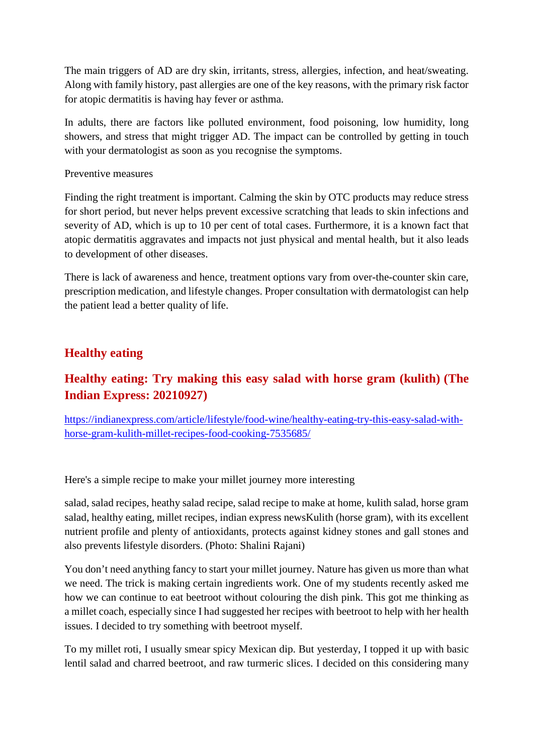The main triggers of AD are dry skin, irritants, stress, allergies, infection, and heat/sweating. Along with family history, past allergies are one of the key reasons, with the primary risk factor for atopic dermatitis is having hay fever or asthma.

In adults, there are factors like polluted environment, food poisoning, low humidity, long showers, and stress that might trigger AD. The impact can be controlled by getting in touch with your dermatologist as soon as you recognise the symptoms.

#### Preventive measures

Finding the right treatment is important. Calming the skin by OTC products may reduce stress for short period, but never helps prevent excessive scratching that leads to skin infections and severity of AD, which is up to 10 per cent of total cases. Furthermore, it is a known fact that atopic dermatitis aggravates and impacts not just physical and mental health, but it also leads to development of other diseases.

There is lack of awareness and hence, treatment options vary from over-the-counter skin care, prescription medication, and lifestyle changes. Proper consultation with dermatologist can help the patient lead a better quality of life.

## **Healthy eating**

## **Healthy eating: Try making this easy salad with horse gram (kulith) (The Indian Express: 20210927)**

https://indianexpress.com/article/lifestyle/food-wine/healthy-eating-try-this-easy-salad-withhorse-gram-kulith-millet-recipes-food-cooking-7535685/

Here's a simple recipe to make your millet journey more interesting

salad, salad recipes, heathy salad recipe, salad recipe to make at home, kulith salad, horse gram salad, healthy eating, millet recipes, indian express newsKulith (horse gram), with its excellent nutrient profile and plenty of antioxidants, protects against kidney stones and gall stones and also prevents lifestyle disorders. (Photo: Shalini Rajani)

You don't need anything fancy to start your millet journey. Nature has given us more than what we need. The trick is making certain ingredients work. One of my students recently asked me how we can continue to eat beetroot without colouring the dish pink. This got me thinking as a millet coach, especially since I had suggested her recipes with beetroot to help with her health issues. I decided to try something with beetroot myself.

To my millet roti, I usually smear spicy Mexican dip. But yesterday, I topped it up with basic lentil salad and charred beetroot, and raw turmeric slices. I decided on this considering many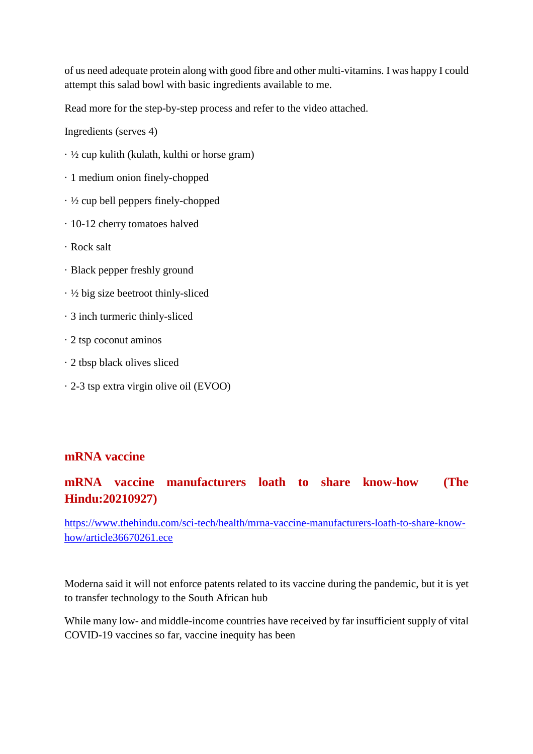of us need adequate protein along with good fibre and other multi-vitamins. I was happy I could attempt this salad bowl with basic ingredients available to me.

Read more for the step-by-step process and refer to the video attached.

Ingredients (serves 4)

- · ½ cup kulith (kulath, kulthi or horse gram)
- · 1 medium onion finely-chopped
- · ½ cup bell peppers finely-chopped
- · 10-12 cherry tomatoes halved
- · Rock salt
- · Black pepper freshly ground
- $\cdot \frac{1}{2}$  big size beetroot thinly-sliced
- · 3 inch turmeric thinly-sliced
- · 2 tsp coconut aminos
- · 2 tbsp black olives sliced
- · 2-3 tsp extra virgin olive oil (EVOO)

## **mRNA vaccine**

## **mRNA vaccine manufacturers loath to share know-how (The Hindu:20210927)**

https://www.thehindu.com/sci-tech/health/mrna-vaccine-manufacturers-loath-to-share-knowhow/article36670261.ece

Moderna said it will not enforce patents related to its vaccine during the pandemic, but it is yet to transfer technology to the South African hub

While many low- and middle-income countries have received by far insufficient supply of vital COVID-19 vaccines so far, vaccine inequity has been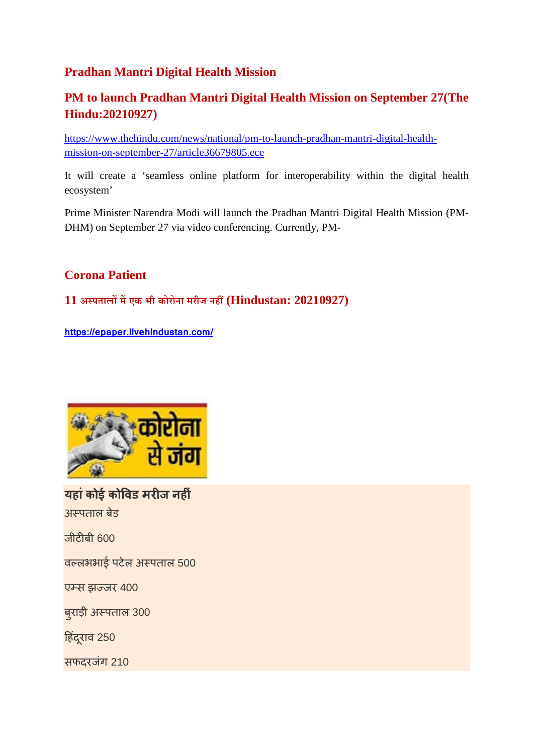## **Pradhan Mantri Digital Health Mission**

## **PM to launch Pradhan Mantri Digital Health Mission on September 27(The Hindu:20210927)**

https://www.thehindu.com/news/national/pm-to-launch-pradhan-mantri-digital-healthmission-on-september-27/article36679805.ece

It will create a 'seamless online platform for interoperability within the digital health ecosystem'

Prime Minister Narendra Modi will launch the Pradhan Mantri Digital Health Mission (PM-DHM) on September 27 via video conferencing. Currently, PM-

## **Corona Patient**

## **11 अपतालमएक भी कोरोना मरीज नह(Hindustan: 20210927)**

**https://epaper.livehindustan.com/**



**यहांकोई कोवड मरज नहं** अपताल बेड

जीटीबी 600

वलभभाई पटेल अपताल 500

एस झजर 400

बुराड़ी अपताल 300

हिंदूराव 250

सफदरजंग 210